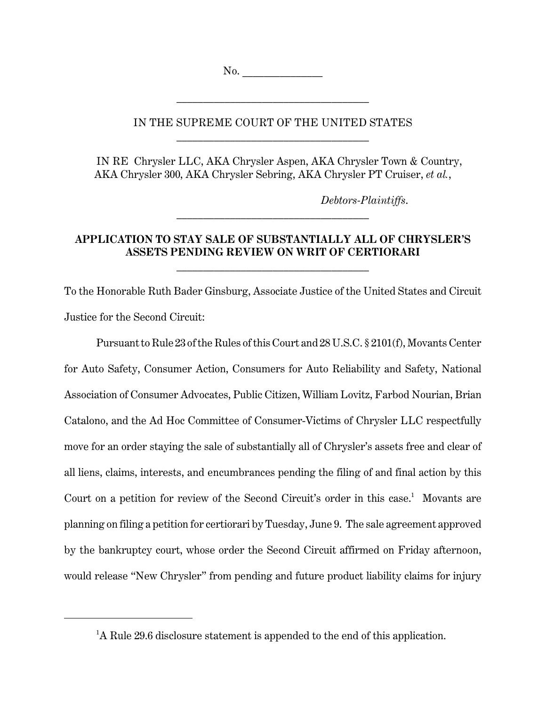No. \_\_\_\_\_\_\_\_\_\_\_\_\_\_\_

## IN THE SUPREME COURT OF THE UNITED STATES \_\_\_\_\_\_\_\_\_\_\_\_\_\_\_\_\_\_\_\_\_\_\_\_\_\_\_\_\_\_\_\_\_\_\_\_

\_\_\_\_\_\_\_\_\_\_\_\_\_\_\_\_\_\_\_\_\_\_\_\_\_\_\_\_\_\_\_\_\_\_\_\_

IN RE Chrysler LLC, AKA Chrysler Aspen, AKA Chrysler Town & Country, AKA Chrysler 300, AKA Chrysler Sebring, AKA Chrysler PT Cruiser, *et al.*,

*Debtors-Plaintiffs*.

# **APPLICATION TO STAY SALE OF SUBSTANTIALLY ALL OF CHRYSLER'S ASSETS PENDING REVIEW ON WRIT OF CERTIORARI**

\_\_\_\_\_\_\_\_\_\_\_\_\_\_\_\_\_\_\_\_\_\_\_\_\_\_\_\_\_\_\_\_\_\_\_\_

\_\_\_\_\_\_\_\_\_\_\_\_\_\_\_\_\_\_\_\_\_\_\_\_\_\_\_\_\_\_\_\_\_\_\_\_

To the Honorable Ruth Bader Ginsburg, Associate Justice of the United States and Circuit Justice for the Second Circuit:

Pursuant to Rule 23 of the Rules of this Court and 28 U.S.C. § 2101(f), Movants Center for Auto Safety, Consumer Action, Consumers for Auto Reliability and Safety, National Association of Consumer Advocates, Public Citizen, William Lovitz, Farbod Nourian, Brian Catalono, and the Ad Hoc Committee of Consumer-Victims of Chrysler LLC respectfully move for an order staying the sale of substantially all of Chrysler's assets free and clear of all liens, claims, interests, and encumbrances pending the filing of and final action by this Court on a petition for review of the Second Circuit's order in this case.<sup>1</sup> Movants are planning on filing a petition for certiorari by Tuesday, June 9. The sale agreement approved by the bankruptcy court, whose order the Second Circuit affirmed on Friday afternoon, would release "New Chrysler" from pending and future product liability claims for injury

<sup>&</sup>lt;sup>1</sup>A Rule 29.6 disclosure statement is appended to the end of this application.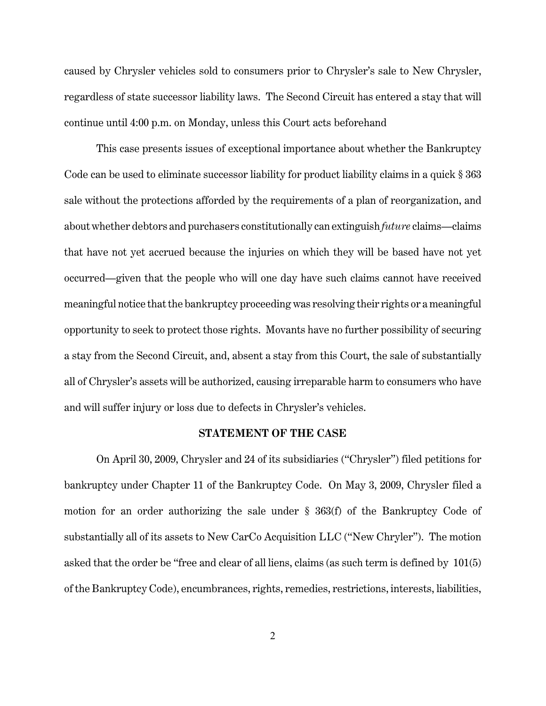caused by Chrysler vehicles sold to consumers prior to Chrysler's sale to New Chrysler, regardless of state successor liability laws. The Second Circuit has entered a stay that will continue until 4:00 p.m. on Monday, unless this Court acts beforehand

This case presents issues of exceptional importance about whether the Bankruptcy Code can be used to eliminate successor liability for product liability claims in a quick § 363 sale without the protections afforded by the requirements of a plan of reorganization, and about whether debtors and purchasers constitutionally can extinguish *future* claims—claims that have not yet accrued because the injuries on which they will be based have not yet occurred—given that the people who will one day have such claims cannot have received meaningful notice that the bankruptcy proceeding was resolving their rights or a meaningful opportunity to seek to protect those rights. Movants have no further possibility of securing a stay from the Second Circuit, and, absent a stay from this Court, the sale of substantially all of Chrysler's assets will be authorized, causing irreparable harm to consumers who have and will suffer injury or loss due to defects in Chrysler's vehicles.

### **STATEMENT OF THE CASE**

On April 30, 2009, Chrysler and 24 of its subsidiaries ("Chrysler") filed petitions for bankruptcy under Chapter 11 of the Bankruptcy Code. On May 3, 2009, Chrysler filed a motion for an order authorizing the sale under § 363(f) of the Bankruptcy Code of substantially all of its assets to New CarCo Acquisition LLC ("New Chryler"). The motion asked that the order be "free and clear of all liens, claims (as such term is defined by 101(5) of the Bankruptcy Code), encumbrances, rights, remedies, restrictions, interests, liabilities,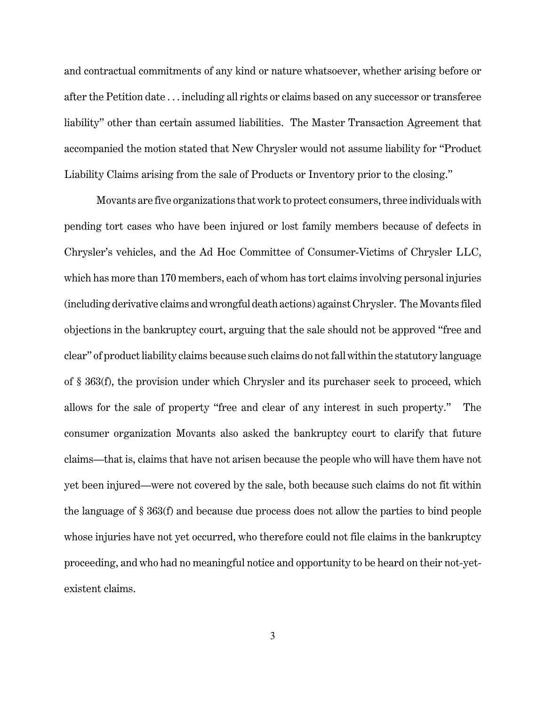and contractual commitments of any kind or nature whatsoever, whether arising before or after the Petition date . . . including all rights or claims based on any successor or transferee liability" other than certain assumed liabilities. The Master Transaction Agreement that accompanied the motion stated that New Chrysler would not assume liability for "Product Liability Claims arising from the sale of Products or Inventory prior to the closing."

Movants are five organizations that work to protect consumers, three individuals with pending tort cases who have been injured or lost family members because of defects in Chrysler's vehicles, and the Ad Hoc Committee of Consumer-Victims of Chrysler LLC, which has more than 170 members, each of whom has tort claims involving personal injuries (including derivative claims and wrongful death actions) against Chrysler. The Movants filed objections in the bankruptcy court, arguing that the sale should not be approved "free and clear" of product liability claims because such claims do not fall within the statutory language of § 363(f), the provision under which Chrysler and its purchaser seek to proceed, which allows for the sale of property "free and clear of any interest in such property." The consumer organization Movants also asked the bankruptcy court to clarify that future claims—that is, claims that have not arisen because the people who will have them have not yet been injured—were not covered by the sale, both because such claims do not fit within the language of § 363(f) and because due process does not allow the parties to bind people whose injuries have not yet occurred, who therefore could not file claims in the bankruptcy proceeding, and who had no meaningful notice and opportunity to be heard on their not-yetexistent claims.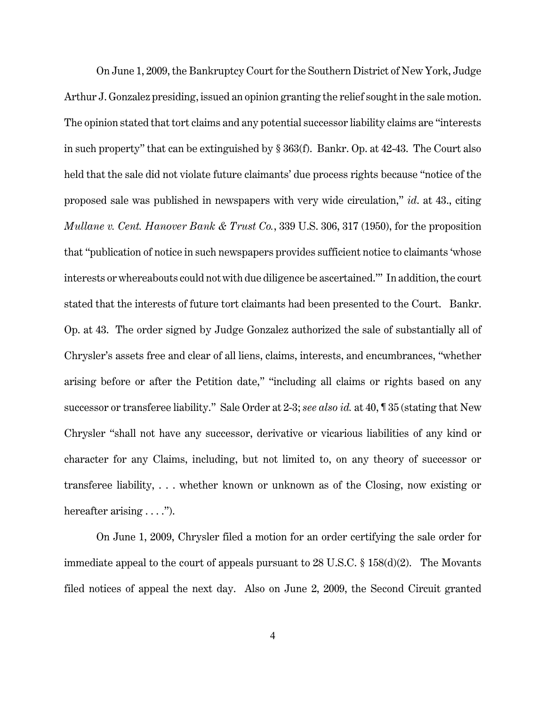On June 1, 2009, the Bankruptcy Court for the Southern District of New York, Judge Arthur J. Gonzalez presiding, issued an opinion granting the relief sought in the sale motion. The opinion stated that tort claims and any potential successor liability claims are "interests in such property" that can be extinguished by § 363(f). Bankr. Op. at 42-43. The Court also held that the sale did not violate future claimants' due process rights because "notice of the proposed sale was published in newspapers with very wide circulation," *id*. at 43., citing *Mullane v. Cent. Hanover Bank & Trust Co.*, 339 U.S. 306, 317 (1950), for the proposition that "publication of notice in such newspapers provides sufficient notice to claimants 'whose interests or whereabouts could not with due diligence be ascertained.'" In addition, the court stated that the interests of future tort claimants had been presented to the Court. Bankr. Op. at 43. The order signed by Judge Gonzalez authorized the sale of substantially all of Chrysler's assets free and clear of all liens, claims, interests, and encumbrances, "whether arising before or after the Petition date," "including all claims or rights based on any successor or transferee liability." Sale Order at 2-3; *see also id.* at 40, ¶ 35 (stating that New Chrysler "shall not have any successor, derivative or vicarious liabilities of any kind or character for any Claims, including, but not limited to, on any theory of successor or transferee liability, . . . whether known or unknown as of the Closing, now existing or hereafter arising  $\dots$ ").

On June 1, 2009, Chrysler filed a motion for an order certifying the sale order for immediate appeal to the court of appeals pursuant to 28 U.S.C. § 158(d)(2). The Movants filed notices of appeal the next day. Also on June 2, 2009, the Second Circuit granted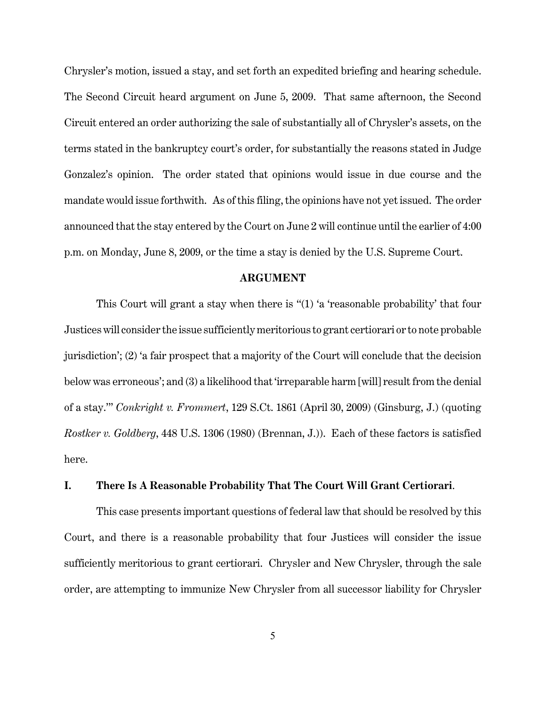Chrysler's motion, issued a stay, and set forth an expedited briefing and hearing schedule. The Second Circuit heard argument on June 5, 2009. That same afternoon, the Second Circuit entered an order authorizing the sale of substantially all of Chrysler's assets, on the terms stated in the bankruptcy court's order, for substantially the reasons stated in Judge Gonzalez's opinion. The order stated that opinions would issue in due course and the mandate would issue forthwith. As of this filing, the opinions have not yet issued. The order announced that the stay entered by the Court on June 2 will continue until the earlier of 4:00 p.m. on Monday, June 8, 2009, or the time a stay is denied by the U.S. Supreme Court.

#### **ARGUMENT**

This Court will grant a stay when there is "(1) 'a 'reasonable probability' that four Justices will consider the issue sufficiently meritorious to grant certiorari or to note probable jurisdiction'; (2) 'a fair prospect that a majority of the Court will conclude that the decision below was erroneous'; and (3) a likelihood that 'irreparable harm [will] result from the denial of a stay.'" *Conkright v. Frommert*, 129 S.Ct. 1861 (April 30, 2009) (Ginsburg, J.) (quoting *Rostker v. Goldberg*, 448 U.S. 1306 (1980) (Brennan, J.)). Each of these factors is satisfied here.

## **I. There Is A Reasonable Probability That The Court Will Grant Certiorari**.

This case presents important questions of federal law that should be resolved by this Court, and there is a reasonable probability that four Justices will consider the issue sufficiently meritorious to grant certiorari. Chrysler and New Chrysler, through the sale order, are attempting to immunize New Chrysler from all successor liability for Chrysler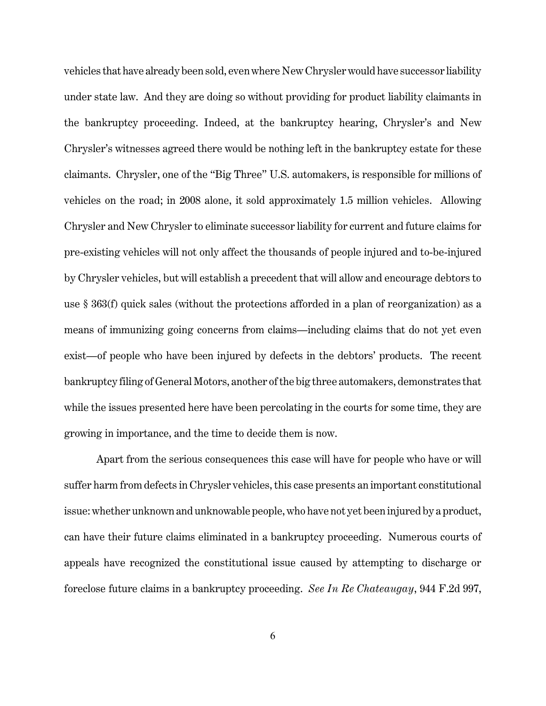vehicles that have already been sold, even where New Chrysler would have successor liability under state law. And they are doing so without providing for product liability claimants in the bankruptcy proceeding. Indeed, at the bankruptcy hearing, Chrysler's and New Chrysler's witnesses agreed there would be nothing left in the bankruptcy estate for these claimants. Chrysler, one of the "Big Three" U.S. automakers, is responsible for millions of vehicles on the road; in 2008 alone, it sold approximately 1.5 million vehicles. Allowing Chrysler and New Chrysler to eliminate successor liability for current and future claims for pre-existing vehicles will not only affect the thousands of people injured and to-be-injured by Chrysler vehicles, but will establish a precedent that will allow and encourage debtors to use § 363(f) quick sales (without the protections afforded in a plan of reorganization) as a means of immunizing going concerns from claims—including claims that do not yet even exist—of people who have been injured by defects in the debtors' products. The recent bankruptcy filing of General Motors, another of the big three automakers, demonstrates that while the issues presented here have been percolating in the courts for some time, they are growing in importance, and the time to decide them is now.

Apart from the serious consequences this case will have for people who have or will suffer harm from defects in Chrysler vehicles, this case presents an important constitutional issue: whether unknown and unknowable people, who have not yet been injured by a product, can have their future claims eliminated in a bankruptcy proceeding. Numerous courts of appeals have recognized the constitutional issue caused by attempting to discharge or foreclose future claims in a bankruptcy proceeding. *See In Re Chateaugay*, 944 F.2d 997,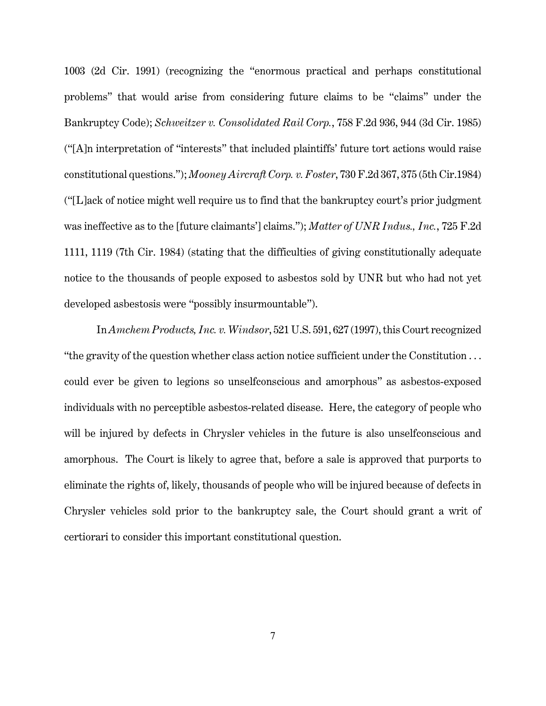1003 (2d Cir. 1991) (recognizing the "enormous practical and perhaps constitutional problems" that would arise from considering future claims to be "claims" under the Bankruptcy Code); *Schweitzer v. Consolidated Rail Corp.*, 758 F.2d 936, 944 (3d Cir. 1985) ("[A]n interpretation of "interests" that included plaintiffs' future tort actions would raise constitutional questions."); *Mooney Aircraft Corp. v. Foster*, 730 F.2d 367, 375 (5th Cir.1984) ("[L]ack of notice might well require us to find that the bankruptcy court's prior judgment was ineffective as to the [future claimants'] claims."); *Matter of UNR Indus., Inc.*, 725 F.2d 1111, 1119 (7th Cir. 1984) (stating that the difficulties of giving constitutionally adequate notice to the thousands of people exposed to asbestos sold by UNR but who had not yet developed asbestosis were "possibly insurmountable").

In *Amchem Products, Inc. v. Windsor*, 521 U.S. 591, 627 (1997), this Court recognized "the gravity of the question whether class action notice sufficient under the Constitution . . . could ever be given to legions so unselfconscious and amorphous" as asbestos-exposed individuals with no perceptible asbestos-related disease. Here, the category of people who will be injured by defects in Chrysler vehicles in the future is also unselfconscious and amorphous. The Court is likely to agree that, before a sale is approved that purports to eliminate the rights of, likely, thousands of people who will be injured because of defects in Chrysler vehicles sold prior to the bankruptcy sale, the Court should grant a writ of certiorari to consider this important constitutional question.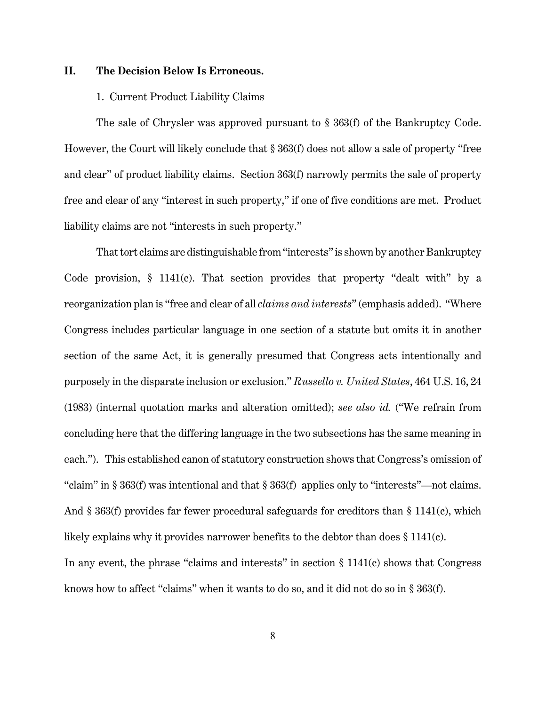## **II. The Decision Below Is Erroneous.**

#### 1. Current Product Liability Claims

The sale of Chrysler was approved pursuant to § 363(f) of the Bankruptcy Code. However, the Court will likely conclude that § 363(f) does not allow a sale of property "free and clear" of product liability claims. Section 363(f) narrowly permits the sale of property free and clear of any "interest in such property," if one of five conditions are met. Product liability claims are not "interests in such property."

That tort claims are distinguishable from "interests" is shown by another Bankruptcy Code provision, § 1141(c). That section provides that property "dealt with" by a reorganization plan is "free and clear of all *claims and interests*" (emphasis added). "Where Congress includes particular language in one section of a statute but omits it in another section of the same Act, it is generally presumed that Congress acts intentionally and purposely in the disparate inclusion or exclusion." *Russello v. United States*, 464 U.S. 16, 24 (1983) (internal quotation marks and alteration omitted); *see also id.* ("We refrain from concluding here that the differing language in the two subsections has the same meaning in each."). This established canon of statutory construction shows that Congress's omission of "claim" in § 363(f) was intentional and that § 363(f) applies only to "interests"—not claims. And § 363(f) provides far fewer procedural safeguards for creditors than § 1141(c), which likely explains why it provides narrower benefits to the debtor than does § 1141(c). In any event, the phrase "claims and interests" in section  $\S 1141(c)$  shows that Congress knows how to affect "claims" when it wants to do so, and it did not do so in § 363(f).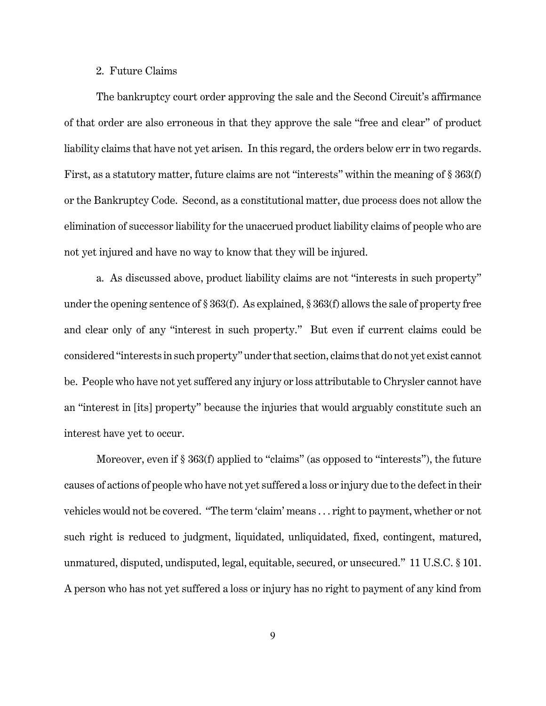### 2. Future Claims

The bankruptcy court order approving the sale and the Second Circuit's affirmance of that order are also erroneous in that they approve the sale "free and clear" of product liability claims that have not yet arisen. In this regard, the orders below err in two regards. First, as a statutory matter, future claims are not "interests" within the meaning of § 363(f) or the Bankruptcy Code. Second, as a constitutional matter, due process does not allow the elimination of successor liability for the unaccrued product liability claims of people who are not yet injured and have no way to know that they will be injured.

a. As discussed above, product liability claims are not "interests in such property" under the opening sentence of § 363(f). As explained, § 363(f) allows the sale of property free and clear only of any "interest in such property." But even if current claims could be considered "interests in such property" under that section, claims that do not yet exist cannot be. People who have not yet suffered any injury or loss attributable to Chrysler cannot have an "interest in [its] property" because the injuries that would arguably constitute such an interest have yet to occur.

Moreover, even if § 363(f) applied to "claims" (as opposed to "interests"), the future causes of actions of people who have not yet suffered a loss or injury due to the defect in their vehicles would not be covered. "The term 'claim' means . . . right to payment, whether or not such right is reduced to judgment, liquidated, unliquidated, fixed, contingent, matured, unmatured, disputed, undisputed, legal, equitable, secured, or unsecured." 11 U.S.C. § 101. A person who has not yet suffered a loss or injury has no right to payment of any kind from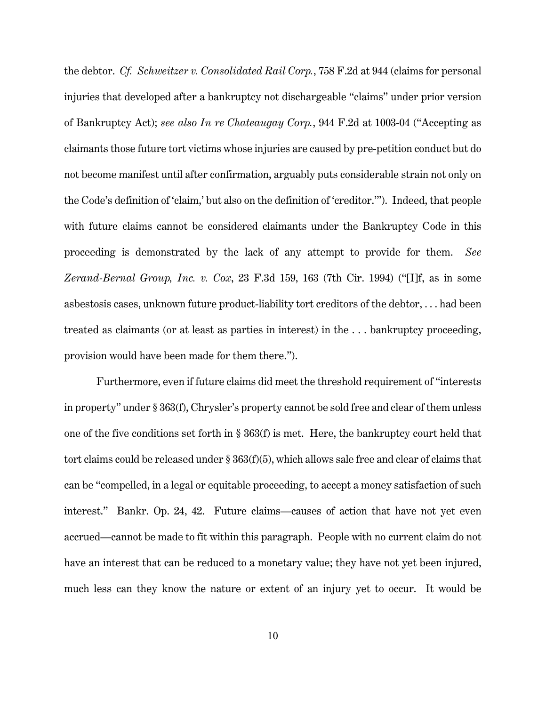the debtor. *Cf. Schweitzer v. Consolidated Rail Corp.*, 758 F.2d at 944 (claims for personal injuries that developed after a bankruptcy not dischargeable "claims" under prior version of Bankruptcy Act); *see also In re Chateaugay Corp.*, 944 F.2d at 1003-04 ("Accepting as claimants those future tort victims whose injuries are caused by pre-petition conduct but do not become manifest until after confirmation, arguably puts considerable strain not only on the Code's definition of 'claim,' but also on the definition of 'creditor.'"). Indeed, that people with future claims cannot be considered claimants under the Bankruptcy Code in this proceeding is demonstrated by the lack of any attempt to provide for them. *See Zerand-Bernal Group, Inc. v. Cox*, 23 F.3d 159, 163 (7th Cir. 1994) ("[I]f, as in some asbestosis cases, unknown future product-liability tort creditors of the debtor, . . . had been treated as claimants (or at least as parties in interest) in the . . . bankruptcy proceeding, provision would have been made for them there.").

Furthermore, even if future claims did meet the threshold requirement of "interests in property" under § 363(f), Chrysler's property cannot be sold free and clear of them unless one of the five conditions set forth in § 363(f) is met. Here, the bankruptcy court held that tort claims could be released under § 363(f)(5), which allows sale free and clear of claims that can be "compelled, in a legal or equitable proceeding, to accept a money satisfaction of such interest." Bankr. Op. 24, 42. Future claims—causes of action that have not yet even accrued—cannot be made to fit within this paragraph. People with no current claim do not have an interest that can be reduced to a monetary value; they have not yet been injured, much less can they know the nature or extent of an injury yet to occur. It would be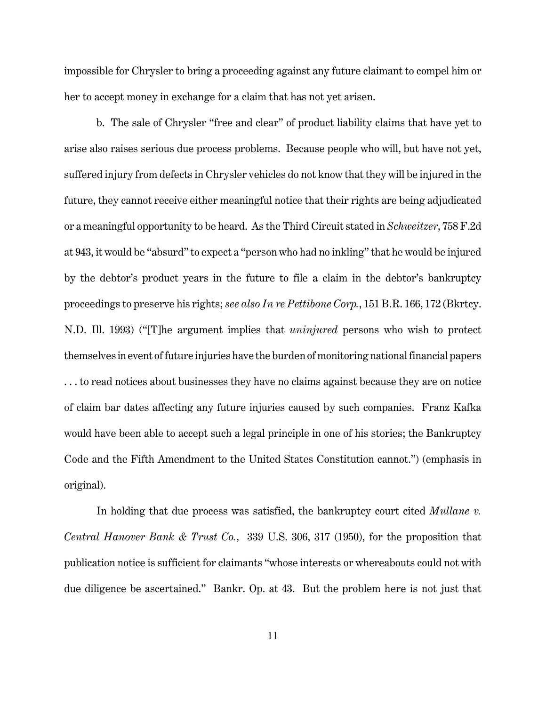impossible for Chrysler to bring a proceeding against any future claimant to compel him or her to accept money in exchange for a claim that has not yet arisen.

b. The sale of Chrysler "free and clear" of product liability claims that have yet to arise also raises serious due process problems. Because people who will, but have not yet, suffered injury from defects in Chrysler vehicles do not know that they will be injured in the future, they cannot receive either meaningful notice that their rights are being adjudicated or a meaningful opportunity to be heard. As the Third Circuit stated in *Schweitzer*, 758 F.2d at 943, it would be "absurd" to expect a "person who had no inkling" that he would be injured by the debtor's product years in the future to file a claim in the debtor's bankruptcy proceedings to preserve his rights; *see also In re Pettibone Corp.*, 151 B.R. 166, 172 (Bkrtcy. N.D. Ill. 1993) ("[T]he argument implies that *uninjured* persons who wish to protect themselves in event of future injuries have the burden of monitoring national financial papers . . . to read notices about businesses they have no claims against because they are on notice of claim bar dates affecting any future injuries caused by such companies. Franz Kafka would have been able to accept such a legal principle in one of his stories; the Bankruptcy Code and the Fifth Amendment to the United States Constitution cannot.") (emphasis in original).

In holding that due process was satisfied, the bankruptcy court cited *Mullane v. Central Hanover Bank & Trust Co.*, 339 U.S. 306, 317 (1950), for the proposition that publication notice is sufficient for claimants "whose interests or whereabouts could not with due diligence be ascertained." Bankr. Op. at 43. But the problem here is not just that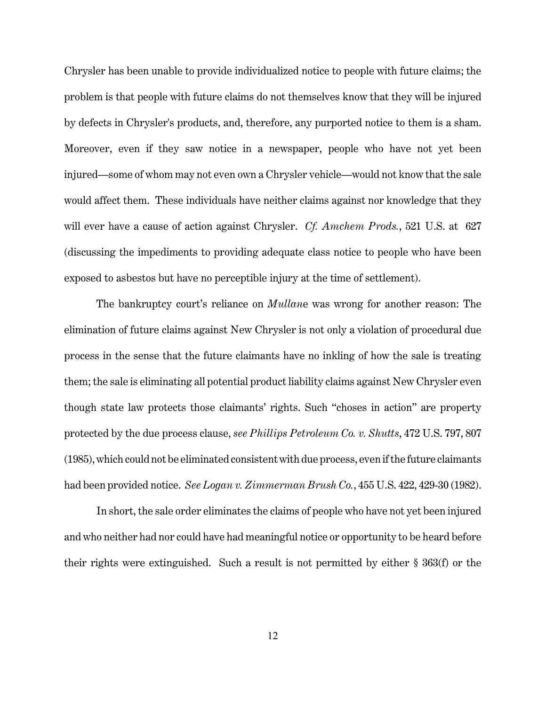Chrysler has been unable to provide individualized notice to people with future claims; the problem is that people with future claims do not themselves know that they will be injured by defects in Chrysler's products, and, therefore, any purported notice to them is a sham. Moreover, even if they saw notice in a newspaper, people who have not yet been injured—some of whom may not even own a Chrysler vehicle—would not know that the sale would affect them. These individuals have neither claims against nor knowledge that they will ever have a cause of action against Chrysler. *Cf. Amchem Prods.*, 521 U.S. at 627 (discussing the impediments to providing adequate class notice to people who have been exposed to asbestos but have no perceptible injury at the time of settlement).

The bankruptcy court's reliance on *Mullan*e was wrong for another reason: The elimination of future claims against New Chrysler is not only a violation of procedural due process in the sense that the future claimants have no inkling of how the sale is treating them; the sale is eliminating all potential product liability claims against New Chrysler even though state law protects those claimants' rights. Such "choses in action" are property protected by the due process clause, *see Phillips Petroleum Co. v. Shutts*, 472 U.S. 797, 807 (1985), which could not be eliminated consistent with due process, even if the future claimants had been provided notice. *See Logan v. Zimmerman Brush Co.*, 455 U.S. 422, 429-30 (1982).

In short, the sale order eliminates the claims of people who have not yet been injured and who neither had nor could have had meaningful notice or opportunity to be heard before their rights were extinguished. Such a result is not permitted by either § 363(f) or the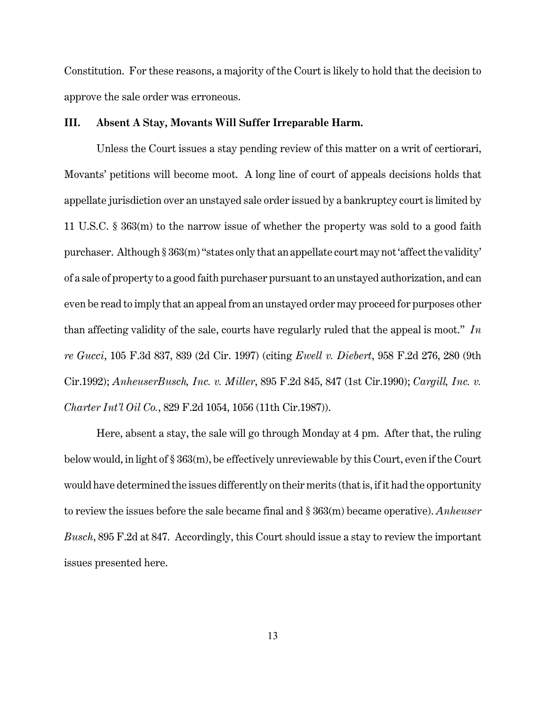Constitution. For these reasons, a majority of the Court is likely to hold that the decision to approve the sale order was erroneous.

### **III. Absent A Stay, Movants Will Suffer Irreparable Harm.**

Unless the Court issues a stay pending review of this matter on a writ of certiorari, Movants' petitions will become moot. A long line of court of appeals decisions holds that appellate jurisdiction over an unstayed sale order issued by a bankruptcy court is limited by 11 U.S.C. § 363(m) to the narrow issue of whether the property was sold to a good faith purchaser. Although § 363(m) "states only that an appellate court may not 'affect the validity' of a sale of property to a good faith purchaser pursuant to an unstayed authorization, and can even be read to imply that an appeal from an unstayed order may proceed for purposes other than affecting validity of the sale, courts have regularly ruled that the appeal is moot." *In re Gucci*, 105 F.3d 837, 839 (2d Cir. 1997) (citing *Ewell v. Diebert*, 958 F.2d 276, 280 (9th Cir.1992); *AnheuserBusch, Inc. v. Miller*, 895 F.2d 845, 847 (1st Cir.1990); *Cargill, Inc. v. Charter Int'l Oil Co.*, 829 F.2d 1054, 1056 (11th Cir.1987)).

Here, absent a stay, the sale will go through Monday at 4 pm. After that, the ruling below would, in light of § 363(m), be effectively unreviewable by this Court, even if the Court would have determined the issues differently on their merits (that is, if it had the opportunity to review the issues before the sale became final and § 363(m) became operative). *Anheuser Busch*, 895 F.2d at 847. Accordingly, this Court should issue a stay to review the important issues presented here.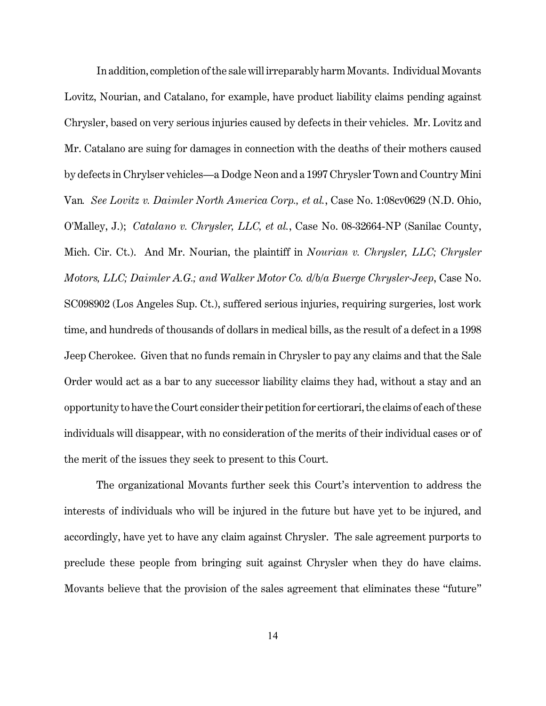In addition, completion of the sale will irreparably harm Movants. Individual Movants Lovitz, Nourian, and Catalano, for example, have product liability claims pending against Chrysler, based on very serious injuries caused by defects in their vehicles. Mr. Lovitz and Mr. Catalano are suing for damages in connection with the deaths of their mothers caused by defects in Chrylser vehicles—a Dodge Neon and a 1997 Chrysler Town and Country Mini Van*. See Lovitz v. Daimler North America Corp., et al.*, Case No. 1:08cv0629 (N.D. Ohio, O'Malley, J.); *Catalano v. Chrysler, LLC, et al.*, Case No. 08-32664-NP (Sanilac County, Mich. Cir. Ct.). And Mr. Nourian, the plaintiff in *Nourian v. Chrysler, LLC; Chrysler Motors, LLC; Daimler A.G.; and Walker Motor Co. d/b/a Buerge Chrysler-Jeep*, Case No. SC098902 (Los Angeles Sup. Ct.), suffered serious injuries, requiring surgeries, lost work time, and hundreds of thousands of dollars in medical bills, as the result of a defect in a 1998 Jeep Cherokee. Given that no funds remain in Chrysler to pay any claims and that the Sale Order would act as a bar to any successor liability claims they had, without a stay and an opportunity to have the Court consider their petition for certiorari, the claims of each of these individuals will disappear, with no consideration of the merits of their individual cases or of the merit of the issues they seek to present to this Court.

The organizational Movants further seek this Court's intervention to address the interests of individuals who will be injured in the future but have yet to be injured, and accordingly, have yet to have any claim against Chrysler. The sale agreement purports to preclude these people from bringing suit against Chrysler when they do have claims. Movants believe that the provision of the sales agreement that eliminates these "future"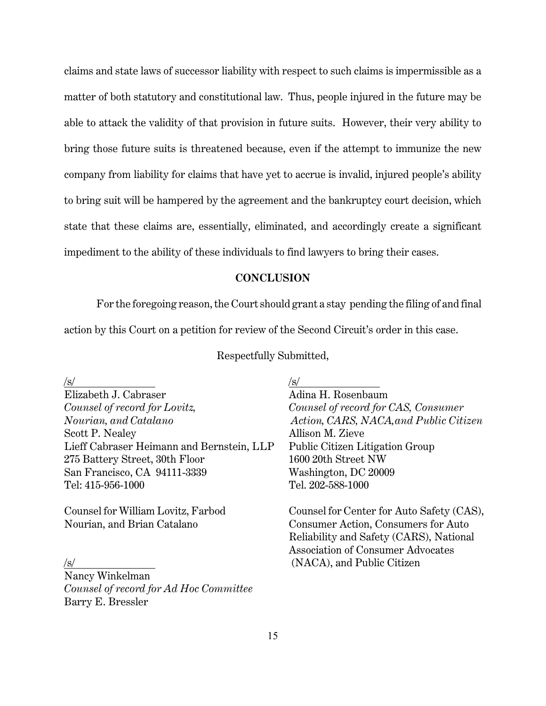claims and state laws of successor liability with respect to such claims is impermissible as a matter of both statutory and constitutional law. Thus, people injured in the future may be able to attack the validity of that provision in future suits. However, their very ability to bring those future suits is threatened because, even if the attempt to immunize the new company from liability for claims that have yet to accrue is invalid, injured people's ability to bring suit will be hampered by the agreement and the bankruptcy court decision, which state that these claims are, essentially, eliminated, and accordingly create a significant impediment to the ability of these individuals to find lawyers to bring their cases.

## **CONCLUSION**

For the foregoing reason, the Court should grant a stay pending the filing of and final action by this Court on a petition for review of the Second Circuit's order in this case.

Respectfully Submitted,

| /s/                                       | 'S/                                       |
|-------------------------------------------|-------------------------------------------|
| Elizabeth J. Cabraser                     | Adina H. Rosenbaum                        |
| Counsel of record for Lovitz,             | Counsel of record for CAS, Consumer       |
| Nourian, and Catalano                     | Action, CARS, NACA, and Public Citizen    |
| Scott P. Nealey                           | Allison M. Zieve                          |
| Lieff Cabraser Heimann and Bernstein, LLP | <b>Public Citizen Litigation Group</b>    |
| 275 Battery Street, 30th Floor            | 1600 20th Street NW                       |
| San Francisco, CA 94111-3339              | Washington, DC 20009                      |
| Tel: 415-956-1000                         | Tel. 202-588-1000                         |
| Counsel for William Lovitz, Farbod        | Counsel for Center for Auto Safety (CAS), |

Nancy Winkelman *Counsel of record for Ad Hoc Committee*  Barry E. Bressler

Nourian, and Brian Catalano Consumer Action, Consumers for Auto Reliability and Safety (CARS), National Association of Consumer Advocates (NACA), and Public Citizen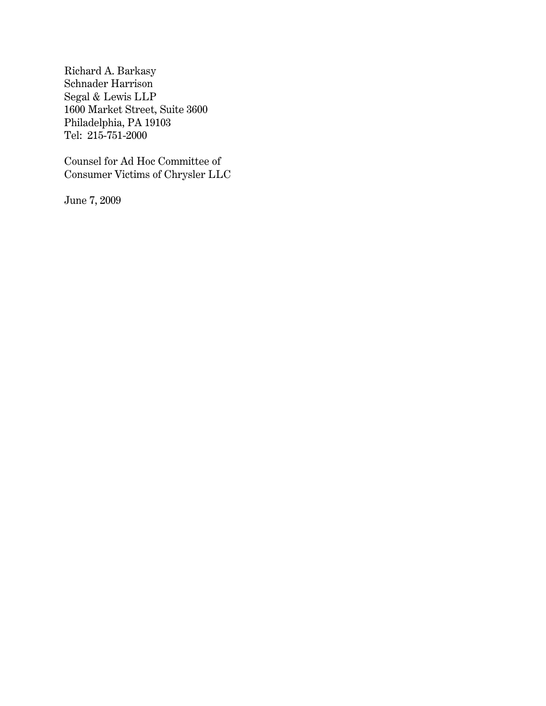Richard A. Barkasy Schnader Harrison Segal & Lewis LLP 1600 Market Street, Suite 3600 Philadelphia, PA 19103 Tel: 215-751-2000

Counsel for Ad Hoc Committee of Consumer Victims of Chrysler LLC

June 7, 2009